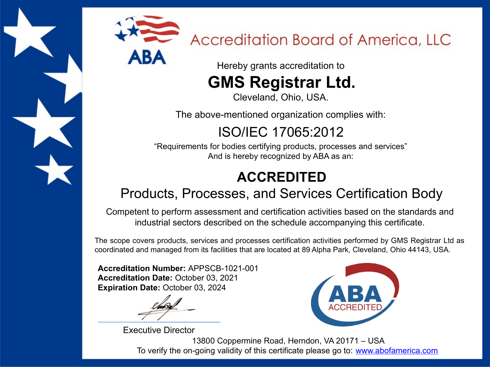

# Accreditation Board of America, LLC

Hereby grants accreditation to

# **GMS Registrar Ltd.**

Cleveland, Ohio, USA.

The above-mentioned organization complies with:

ISO/IEC 17065:2012

"Requirements for bodies certifying products, processes and services" And is hereby recognized by ABA as an:

### **ACCREDITED**

#### Products, Processes, and Services Certification Body

Competent to perform assessment and certification activities based on the standards and industrial sectors described on the schedule accompanying this certificate.

The scope covers products, services and processes certification activities performed by GMS Registrar Ltd as coordinated and managed from its facilities that are located at 89 Alpha Park, Cleveland, Ohio 44143, USA.

**Accreditation Number:** APPSCB-1021-001 **Accreditation Date:** October 03, 2021 **Expiration Date:** October 03, 2024

Executive Director



13800 Coppermine Road, Herndon, VA 20171 – USA To verify the on-going validity of this certificate please go to: [www.abofamerica.com](http://www.abofamerica.com/)